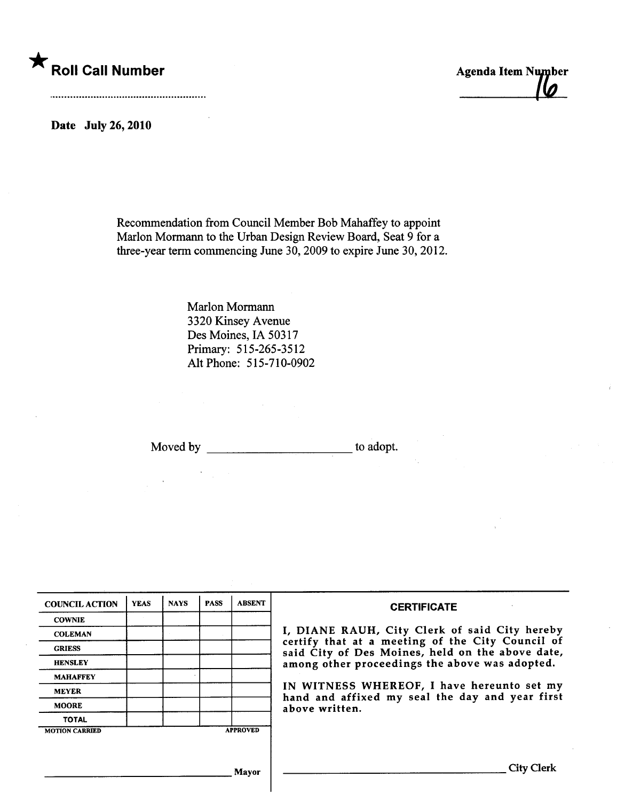

Date July 26, 2010

Recommendation from Council Member Bob Mahaffey to appoint Marlon Mormann to the Urban Design Review Board, Seat 9 for a three-year term commencing June 30, 2009 to expire June 30, 2012.

> Marlon Morman 3320 Kinsey Avenue Des Moines, IA 50317 Primary: 515-265-3512 Alt Phone: 515-710-0902

Moved by to adopt.

| <b>COUNCIL ACTION</b> | <b>YEAS</b> | <b>NAYS</b> | <b>PASS</b> | <b>ABSENT</b>   | <b>CERTIFICATE</b>                                                                                                                                                                                                                                                                                                         |
|-----------------------|-------------|-------------|-------------|-----------------|----------------------------------------------------------------------------------------------------------------------------------------------------------------------------------------------------------------------------------------------------------------------------------------------------------------------------|
| <b>COWNIE</b>         |             |             |             |                 | I, DIANE RAUH, City Clerk of said City hereby<br>certify that at a meeting of the City Council of<br>said City of Des Moines, held on the above date,<br>among other proceedings the above was adopted.<br>IN WITNESS WHEREOF, I have hereunto set my<br>hand and affixed my seal the day and year first<br>above written. |
| <b>COLEMAN</b>        |             |             |             |                 |                                                                                                                                                                                                                                                                                                                            |
| <b>GRIESS</b>         |             |             |             |                 |                                                                                                                                                                                                                                                                                                                            |
| <b>HENSLEY</b>        |             |             |             |                 |                                                                                                                                                                                                                                                                                                                            |
| <b>MAHAFFEY</b>       |             |             |             |                 |                                                                                                                                                                                                                                                                                                                            |
| <b>MEYER</b>          |             |             |             |                 |                                                                                                                                                                                                                                                                                                                            |
| <b>MOORE</b>          |             |             |             |                 |                                                                                                                                                                                                                                                                                                                            |
| <b>TOTAL</b>          |             |             |             |                 |                                                                                                                                                                                                                                                                                                                            |
| <b>MOTION CARRIED</b> |             |             |             | <b>APPROVED</b> |                                                                                                                                                                                                                                                                                                                            |
|                       |             |             |             |                 |                                                                                                                                                                                                                                                                                                                            |
| Mavor                 |             |             |             |                 | <b>City Clerk</b>                                                                                                                                                                                                                                                                                                          |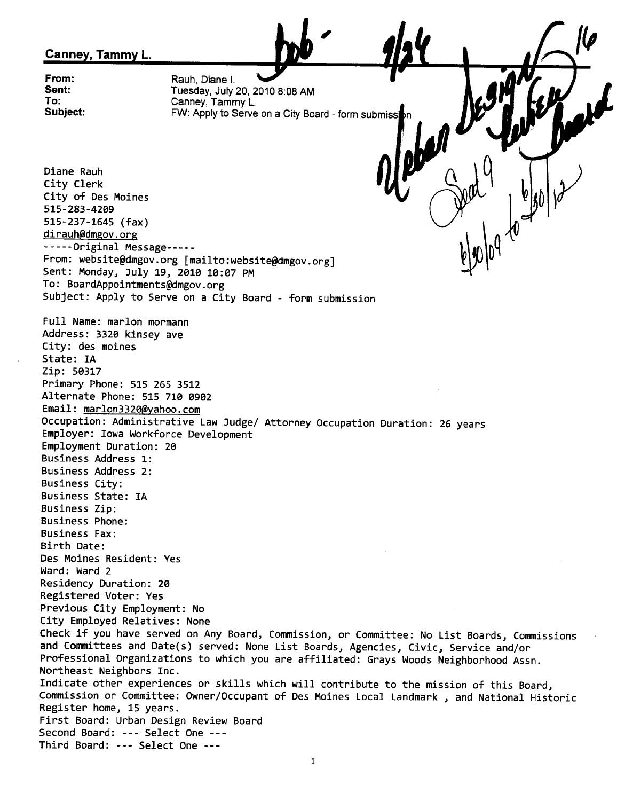## Canney, Tammy L.

From: Sent: To: Subject: Rauh, Diane I. Tuesday, July 20, 2010 8:08 AM Canney, Tammy L. FW: Apply to Serve on a City Board - form submissi

,

Diane Rauh City Clerk City of Des Moines 515-283-42e9 515-237-1645 (fax) dirauh@dmgov.org - - - - -Original Message- - - -- From: website@dmgov.org [mailto:website@dmgov.org] Sent: Monday, July 19, 2010 10:07 PM To: BoardAppointments@dmgov.org Subject: Apply to Serve on a City Board - form submission  $\mathbb{Z}^{\nu}$ Full Name: marIon mormann Address: 332e kinsey ave City: des moines State: IA Zip: 50317 Primary Phone: 515 265 3512 Alternate Phone: 515 710 0902 Email: marlon3320@yahoo.com Occupation: Administrative Law Judge/ Attorney Occupation Duration: 26 years Employer: Iowa Workforce Development Employment Duration: 2e Business Address 1: Business Address 2: Business City: Business State: IA Business Zip: Business Phone: Business Fax: Birth Date: Des Moines Resident: Yes Ward: Ward 2 Residency Duration: 2e Registered Voter: Yes Previous City Employment: No City Employed Relatives: None Check if you have served on Any Board, Commission, or Committee: No List Boards, Commissions and Committees and Date(s) served: None List Boards, Agencies, Civic, Service and/or Professional Organizations to which you are affiliated: Grays Woods Neighborhood Assn. Northeast Neighbors Inc. Indicate other experiences or skills which will contribute to the mission of this Board, Commission or Committee: Owner/Occupant of Des Moines Local Landmark, and National Historic Register home, 15 years. First Board: Urban Design Review Board Second Board: --- Select One ---Third Board: --- Select One ---